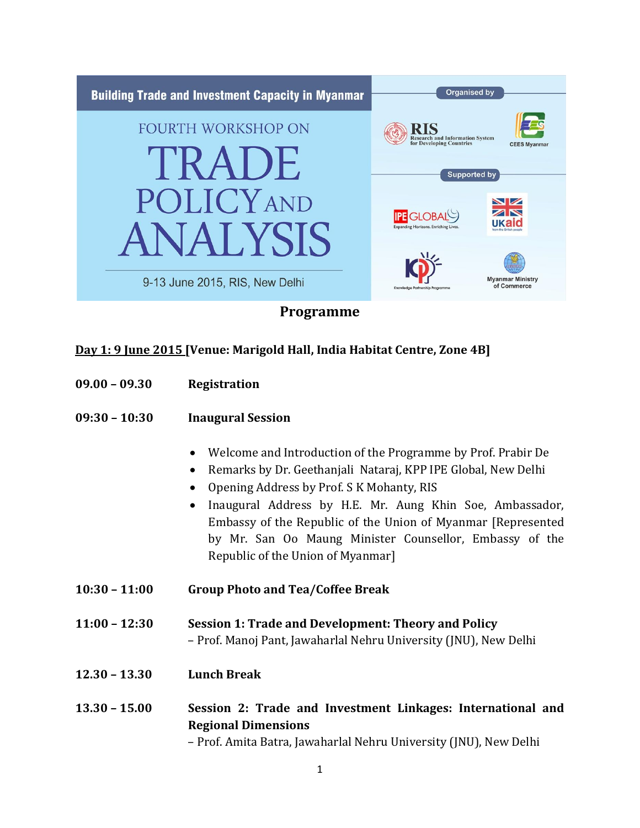

## **Programme**

## **Day 1: 9 June 2015 [Venue: Marigold Hall, India Habitat Centre, Zone 4B]**

| $09.00 - 09.30$ | <b>Registration</b> |
|-----------------|---------------------|
|-----------------|---------------------|

| $09:30 - 10:30$ | <b>Inaugural Session</b> |
|-----------------|--------------------------|
|                 |                          |

- Welcome and Introduction of the Programme by Prof. Prabir De
- Remarks by Dr. Geethanjali Nataraj, KPP IPE Global, New Delhi
- Opening Address by Prof. S K Mohanty, RIS
- Inaugural Address by H.E. Mr. Aung Khin Soe, Ambassador, Embassy of the Republic of the Union of Myanmar [Represented by Mr. San Oo Maung Minister Counsellor, Embassy of the Republic of the Union of Myanmar]
- **10:30 – 11:00 Group Photo and Tea/Coffee Break**
- **11:00 – 12:30 Session 1: Trade and Development: Theory and Policy** – Prof. Manoj Pant, Jawaharlal Nehru University (JNU), New Delhi
- **12.30 – 13.30 Lunch Break**
- **13.30 – 15.00 Session 2: Trade and Investment Linkages: International and Regional Dimensions**

– Prof. Amita Batra, Jawaharlal Nehru University (JNU), New Delhi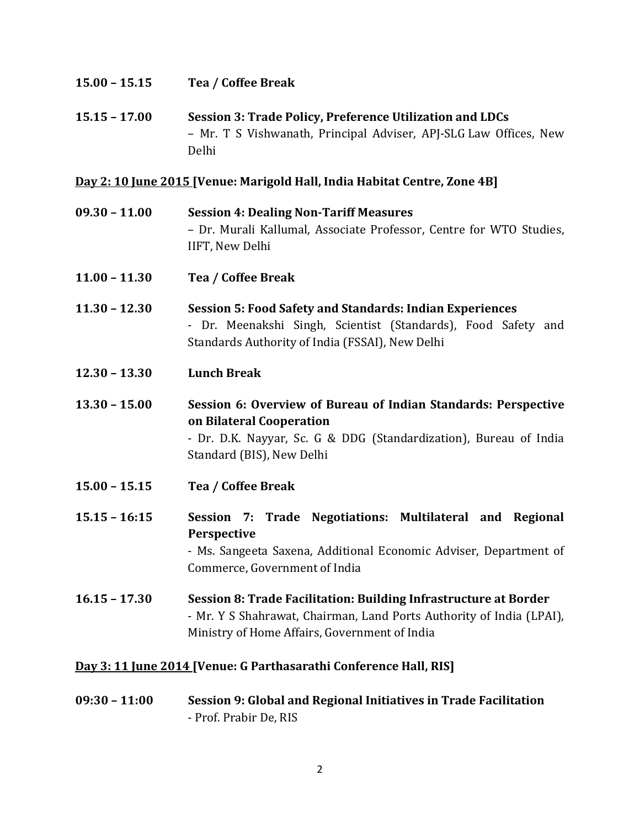| $15.00 - 15.15$                                                   | Tea / Coffee Break                                                                                                                                                                           |
|-------------------------------------------------------------------|----------------------------------------------------------------------------------------------------------------------------------------------------------------------------------------------|
| $15.15 - 17.00$                                                   | Session 3: Trade Policy, Preference Utilization and LDCs<br>- Mr. T S Vishwanath, Principal Adviser, APJ-SLG Law Offices, New<br>Delhi                                                       |
|                                                                   | Dav 2: 10 June 2015 [Venue: Marigold Hall, India Habitat Centre, Zone 4B]                                                                                                                    |
| $09.30 - 11.00$                                                   | <b>Session 4: Dealing Non-Tariff Measures</b><br>- Dr. Murali Kallumal, Associate Professor, Centre for WTO Studies,<br>IIFT, New Delhi                                                      |
| $11.00 - 11.30$                                                   | Tea / Coffee Break                                                                                                                                                                           |
| $11.30 - 12.30$                                                   | <b>Session 5: Food Safety and Standards: Indian Experiences</b><br>- Dr. Meenakshi Singh, Scientist (Standards), Food Safety and<br>Standards Authority of India (FSSAI), New Delhi          |
| $12.30 - 13.30$                                                   | <b>Lunch Break</b>                                                                                                                                                                           |
| $13.30 - 15.00$                                                   | Session 6: Overview of Bureau of Indian Standards: Perspective<br>on Bilateral Cooperation<br>- Dr. D.K. Nayyar, Sc. G & DDG (Standardization), Bureau of India<br>Standard (BIS), New Delhi |
| $15.00 - 15.15$                                                   | Tea / Coffee Break                                                                                                                                                                           |
| $15.15 - 16:15$                                                   | Session 7: Trade Negotiations: Multilateral and Regional<br>Perspective<br>- Ms. Sangeeta Saxena, Additional Economic Adviser, Department of<br>Commerce, Government of India                |
| $16.15 - 17.30$                                                   | Session 8: Trade Facilitation: Building Infrastructure at Border<br>- Mr. Y S Shahrawat, Chairman, Land Ports Authority of India (LPAI),<br>Ministry of Home Affairs, Government of India    |
| Day 3: 11 June 2014 [Venue: G Parthasarathi Conference Hall, RIS] |                                                                                                                                                                                              |
| $09:30 - 11:00$                                                   | Session 9: Global and Regional Initiatives in Trade Facilitation                                                                                                                             |

- Prof. Prabir De, RIS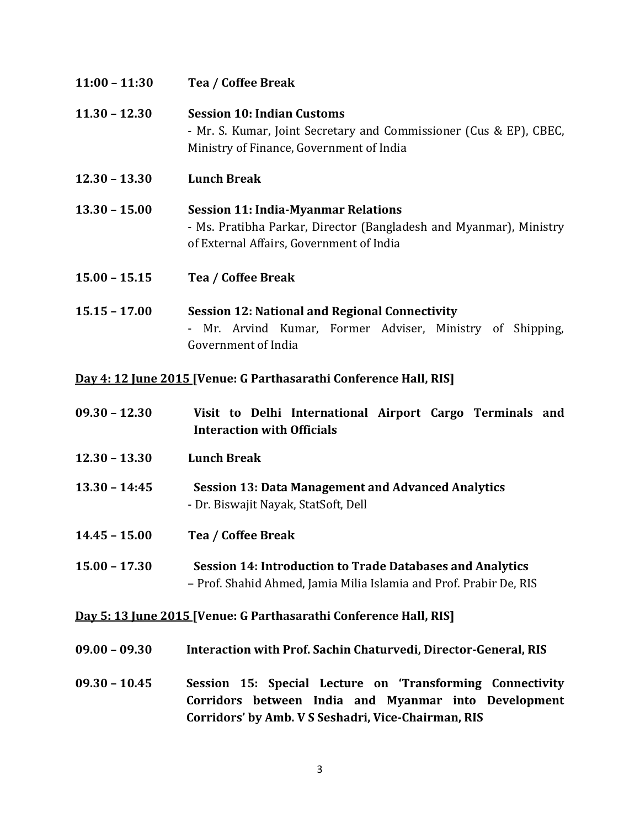| $11:00 - 11:30$ | Tea / Coffee Break                                                                                                                                           |
|-----------------|--------------------------------------------------------------------------------------------------------------------------------------------------------------|
| $11.30 - 12.30$ | <b>Session 10: Indian Customs</b><br>- Mr. S. Kumar, Joint Secretary and Commissioner (Cus & EP), CBEC,<br>Ministry of Finance, Government of India          |
| $12.30 - 13.30$ | <b>Lunch Break</b>                                                                                                                                           |
| $13.30 - 15.00$ | <b>Session 11: India-Myanmar Relations</b><br>- Ms. Pratibha Parkar, Director (Bangladesh and Myanmar), Ministry<br>of External Affairs, Government of India |
| $15.00 - 15.15$ | Tea / Coffee Break                                                                                                                                           |
| $15.15 - 17.00$ | <b>Session 12: National and Regional Connectivity</b><br>- Mr. Arvind Kumar, Former Adviser, Ministry of Shipping,<br>Government of India                    |

## **Day 4: 12 June 2015 [Venue: G Parthasarathi Conference Hall, RIS]**

| $09.30 - 12.30$ | Visit to Delhi International Airport Cargo Terminals and<br><b>Interaction with Officials</b>                                          |
|-----------------|----------------------------------------------------------------------------------------------------------------------------------------|
| $12.30 - 13.30$ | <b>Lunch Break</b>                                                                                                                     |
| $13.30 - 14:45$ | <b>Session 13: Data Management and Advanced Analytics</b><br>- Dr. Biswajit Nayak, StatSoft, Dell                                      |
| $14.45 - 15.00$ | Tea / Coffee Break                                                                                                                     |
| $15.00 - 17.30$ | <b>Session 14: Introduction to Trade Databases and Analytics</b><br>- Prof. Shahid Ahmed, Jamia Milia Islamia and Prof. Prabir De, RIS |

## **Day 5: 13 June 2015 [Venue: G Parthasarathi Conference Hall, RIS]**

- **09.00 – 09.30 Interaction with Prof. Sachin Chaturvedi, Director-General, RIS**
- **09.30 – 10.45 Session 15: Special Lecture on 'Transforming Connectivity Corridors between India and Myanmar into Development Corridors' by Amb. V S Seshadri, Vice-Chairman, RIS**